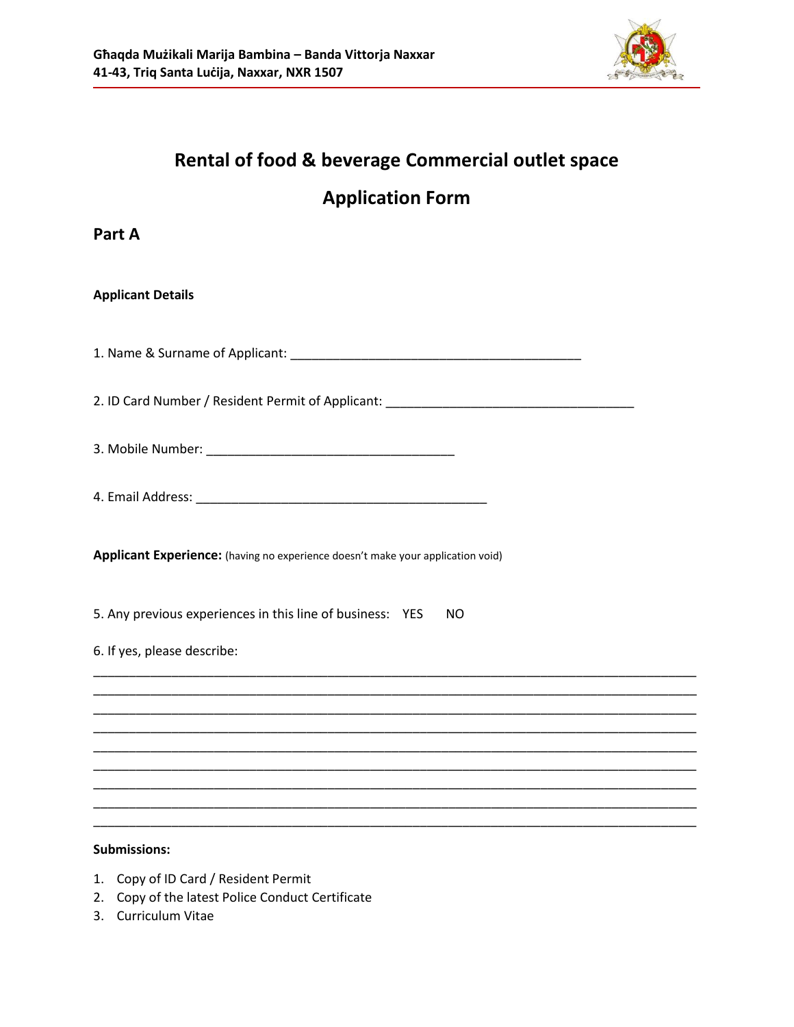

# **Rental of food & beverage Commercial outlet space**

## **Application Form**

## **Part A**

#### **Applicant Details**

1. Name & Surname of Applicant: \_\_\_\_\_\_\_\_\_\_\_\_\_\_\_\_\_\_\_\_\_\_\_\_\_\_\_\_\_\_\_\_\_\_\_\_\_\_\_\_\_

2. ID Card Number / Resident Permit of Applicant: \_\_\_\_\_\_\_\_\_\_\_\_\_\_\_\_\_\_\_\_\_\_\_\_\_\_\_\_\_\_

\_\_\_\_\_\_\_\_\_\_\_\_\_\_\_\_\_\_\_\_\_\_\_\_\_\_\_\_\_\_\_\_\_\_\_\_\_\_\_\_\_\_\_\_\_\_\_\_\_\_\_\_\_\_\_\_\_\_\_\_\_\_\_\_\_\_\_\_\_\_\_\_\_\_\_\_\_\_\_\_\_\_\_\_\_ \_\_\_\_\_\_\_\_\_\_\_\_\_\_\_\_\_\_\_\_\_\_\_\_\_\_\_\_\_\_\_\_\_\_\_\_\_\_\_\_\_\_\_\_\_\_\_\_\_\_\_\_\_\_\_\_\_\_\_\_\_\_\_\_\_\_\_\_\_\_\_\_\_\_\_\_\_\_\_\_\_\_\_\_\_ \_\_\_\_\_\_\_\_\_\_\_\_\_\_\_\_\_\_\_\_\_\_\_\_\_\_\_\_\_\_\_\_\_\_\_\_\_\_\_\_\_\_\_\_\_\_\_\_\_\_\_\_\_\_\_\_\_\_\_\_\_\_\_\_\_\_\_\_\_\_\_\_\_\_\_\_\_\_\_\_\_\_\_\_\_ \_\_\_\_\_\_\_\_\_\_\_\_\_\_\_\_\_\_\_\_\_\_\_\_\_\_\_\_\_\_\_\_\_\_\_\_\_\_\_\_\_\_\_\_\_\_\_\_\_\_\_\_\_\_\_\_\_\_\_\_\_\_\_\_\_\_\_\_\_\_\_\_\_\_\_\_\_\_\_\_\_\_\_\_\_ \_\_\_\_\_\_\_\_\_\_\_\_\_\_\_\_\_\_\_\_\_\_\_\_\_\_\_\_\_\_\_\_\_\_\_\_\_\_\_\_\_\_\_\_\_\_\_\_\_\_\_\_\_\_\_\_\_\_\_\_\_\_\_\_\_\_\_\_\_\_\_\_\_\_\_\_\_\_\_\_\_\_\_\_\_ \_\_\_\_\_\_\_\_\_\_\_\_\_\_\_\_\_\_\_\_\_\_\_\_\_\_\_\_\_\_\_\_\_\_\_\_\_\_\_\_\_\_\_\_\_\_\_\_\_\_\_\_\_\_\_\_\_\_\_\_\_\_\_\_\_\_\_\_\_\_\_\_\_\_\_\_\_\_\_\_\_\_\_\_\_ \_\_\_\_\_\_\_\_\_\_\_\_\_\_\_\_\_\_\_\_\_\_\_\_\_\_\_\_\_\_\_\_\_\_\_\_\_\_\_\_\_\_\_\_\_\_\_\_\_\_\_\_\_\_\_\_\_\_\_\_\_\_\_\_\_\_\_\_\_\_\_\_\_\_\_\_\_\_\_\_\_\_\_\_\_ \_\_\_\_\_\_\_\_\_\_\_\_\_\_\_\_\_\_\_\_\_\_\_\_\_\_\_\_\_\_\_\_\_\_\_\_\_\_\_\_\_\_\_\_\_\_\_\_\_\_\_\_\_\_\_\_\_\_\_\_\_\_\_\_\_\_\_\_\_\_\_\_\_\_\_\_\_\_\_\_\_\_\_\_\_ \_\_\_\_\_\_\_\_\_\_\_\_\_\_\_\_\_\_\_\_\_\_\_\_\_\_\_\_\_\_\_\_\_\_\_\_\_\_\_\_\_\_\_\_\_\_\_\_\_\_\_\_\_\_\_\_\_\_\_\_\_\_\_\_\_\_\_\_\_\_\_\_\_\_\_\_\_\_\_\_\_\_\_\_\_

3. Mobile Number: \_\_\_\_\_\_\_\_\_\_\_\_\_\_\_\_\_\_\_\_\_\_\_\_\_\_\_\_\_\_\_\_\_\_\_

**Applicant Experience:** (having no experience doesn't make your application void)

5. Any previous experiences in this line of business: YES NO

#### 6. If yes, please describe:

#### **Submissions:**

- 1. Copy of ID Card / Resident Permit
- 2. Copy of the latest Police Conduct Certificate
- 3. Curriculum Vitae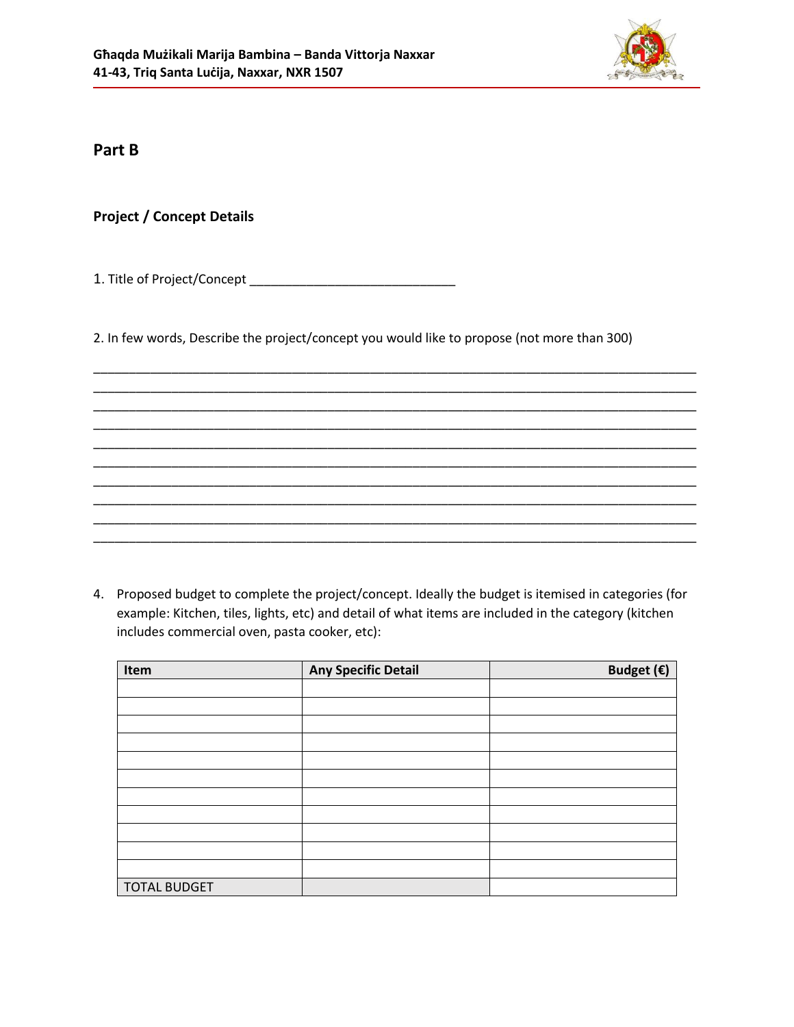

## **Part B**

## **Project / Concept Details**

1. Title of Project/Concept \_\_\_\_\_\_\_\_\_\_\_\_\_\_\_\_\_\_\_\_\_\_\_\_\_\_\_\_\_

2. In few words, Describe the project/concept you would like to propose (not more than 300)

\_\_\_\_\_\_\_\_\_\_\_\_\_\_\_\_\_\_\_\_\_\_\_\_\_\_\_\_\_\_\_\_\_\_\_\_\_\_\_\_\_\_\_\_\_\_\_\_\_\_\_\_\_\_\_\_\_\_\_\_\_\_\_\_\_\_\_\_\_\_\_\_\_\_\_\_\_\_\_\_\_\_\_\_\_ \_\_\_\_\_\_\_\_\_\_\_\_\_\_\_\_\_\_\_\_\_\_\_\_\_\_\_\_\_\_\_\_\_\_\_\_\_\_\_\_\_\_\_\_\_\_\_\_\_\_\_\_\_\_\_\_\_\_\_\_\_\_\_\_\_\_\_\_\_\_\_\_\_\_\_\_\_\_\_\_\_\_\_\_\_ \_\_\_\_\_\_\_\_\_\_\_\_\_\_\_\_\_\_\_\_\_\_\_\_\_\_\_\_\_\_\_\_\_\_\_\_\_\_\_\_\_\_\_\_\_\_\_\_\_\_\_\_\_\_\_\_\_\_\_\_\_\_\_\_\_\_\_\_\_\_\_\_\_\_\_\_\_\_\_\_\_\_\_\_\_ \_\_\_\_\_\_\_\_\_\_\_\_\_\_\_\_\_\_\_\_\_\_\_\_\_\_\_\_\_\_\_\_\_\_\_\_\_\_\_\_\_\_\_\_\_\_\_\_\_\_\_\_\_\_\_\_\_\_\_\_\_\_\_\_\_\_\_\_\_\_\_\_\_\_\_\_\_\_\_\_\_\_\_\_\_ \_\_\_\_\_\_\_\_\_\_\_\_\_\_\_\_\_\_\_\_\_\_\_\_\_\_\_\_\_\_\_\_\_\_\_\_\_\_\_\_\_\_\_\_\_\_\_\_\_\_\_\_\_\_\_\_\_\_\_\_\_\_\_\_\_\_\_\_\_\_\_\_\_\_\_\_\_\_\_\_\_\_\_\_\_ \_\_\_\_\_\_\_\_\_\_\_\_\_\_\_\_\_\_\_\_\_\_\_\_\_\_\_\_\_\_\_\_\_\_\_\_\_\_\_\_\_\_\_\_\_\_\_\_\_\_\_\_\_\_\_\_\_\_\_\_\_\_\_\_\_\_\_\_\_\_\_\_\_\_\_\_\_\_\_\_\_\_\_\_\_ \_\_\_\_\_\_\_\_\_\_\_\_\_\_\_\_\_\_\_\_\_\_\_\_\_\_\_\_\_\_\_\_\_\_\_\_\_\_\_\_\_\_\_\_\_\_\_\_\_\_\_\_\_\_\_\_\_\_\_\_\_\_\_\_\_\_\_\_\_\_\_\_\_\_\_\_\_\_\_\_\_\_\_\_\_ \_\_\_\_\_\_\_\_\_\_\_\_\_\_\_\_\_\_\_\_\_\_\_\_\_\_\_\_\_\_\_\_\_\_\_\_\_\_\_\_\_\_\_\_\_\_\_\_\_\_\_\_\_\_\_\_\_\_\_\_\_\_\_\_\_\_\_\_\_\_\_\_\_\_\_\_\_\_\_\_\_\_\_\_\_ \_\_\_\_\_\_\_\_\_\_\_\_\_\_\_\_\_\_\_\_\_\_\_\_\_\_\_\_\_\_\_\_\_\_\_\_\_\_\_\_\_\_\_\_\_\_\_\_\_\_\_\_\_\_\_\_\_\_\_\_\_\_\_\_\_\_\_\_\_\_\_\_\_\_\_\_\_\_\_\_\_\_\_\_\_ \_\_\_\_\_\_\_\_\_\_\_\_\_\_\_\_\_\_\_\_\_\_\_\_\_\_\_\_\_\_\_\_\_\_\_\_\_\_\_\_\_\_\_\_\_\_\_\_\_\_\_\_\_\_\_\_\_\_\_\_\_\_\_\_\_\_\_\_\_\_\_\_\_\_\_\_\_\_\_\_\_\_\_\_\_

4. Proposed budget to complete the project/concept. Ideally the budget is itemised in categories (for example: Kitchen, tiles, lights, etc) and detail of what items are included in the category (kitchen includes commercial oven, pasta cooker, etc):

| Item                | <b>Any Specific Detail</b> | Budget $(\epsilon)$ |
|---------------------|----------------------------|---------------------|
|                     |                            |                     |
|                     |                            |                     |
|                     |                            |                     |
|                     |                            |                     |
|                     |                            |                     |
|                     |                            |                     |
|                     |                            |                     |
|                     |                            |                     |
|                     |                            |                     |
|                     |                            |                     |
|                     |                            |                     |
| <b>TOTAL BUDGET</b> |                            |                     |